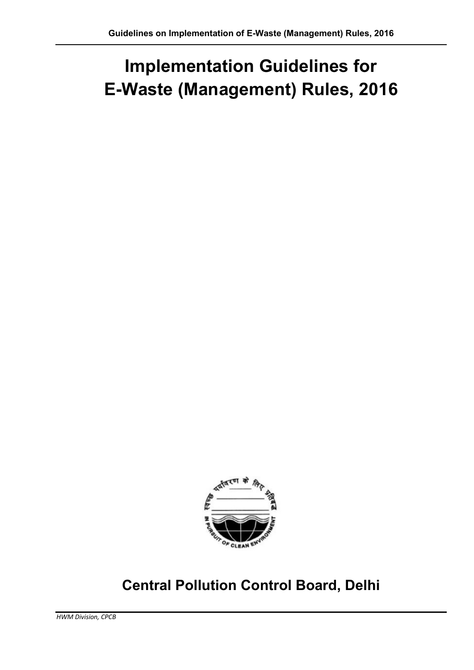# Implementation Guidelines for E-Waste (Management) Rules, 2016



## Central Pollution Control Board, Delhi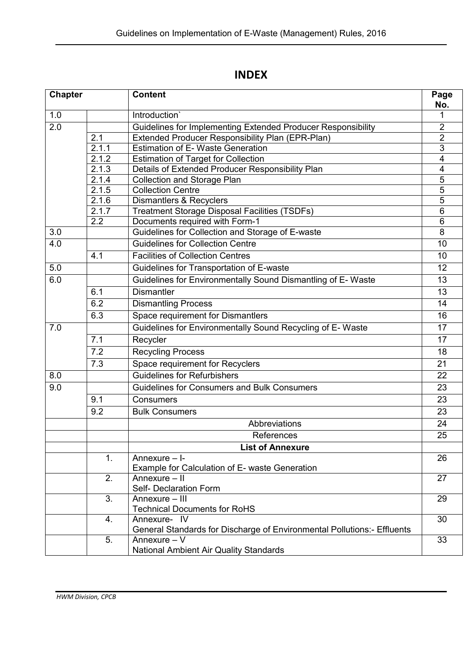## INDEX

| <b>Chapter</b> |                    | <b>Content</b>                                                          | Page<br>No.             |
|----------------|--------------------|-------------------------------------------------------------------------|-------------------------|
| 1.0            |                    | Introduction'                                                           |                         |
| 2.0            |                    | Guidelines for Implementing Extended Producer Responsibility            | $\overline{2}$          |
|                | 2.1                | Extended Producer Responsibility Plan (EPR-Plan)                        | $\overline{2}$          |
|                | $\overline{2.1.1}$ | <b>Estimation of E- Waste Generation</b>                                | $\overline{3}$          |
|                | 2.1.2              | <b>Estimation of Target for Collection</b>                              | $\overline{\mathbf{4}}$ |
|                | 2.1.3              | Details of Extended Producer Responsibility Plan                        | $\overline{4}$          |
|                | 2.1.4              | <b>Collection and Storage Plan</b>                                      | $\overline{5}$          |
|                | 2.1.5              | <b>Collection Centre</b>                                                | $\overline{5}$          |
|                | 2.1.6              | <b>Dismantlers &amp; Recyclers</b>                                      | 5                       |
|                | 2.1.7              | <b>Treatment Storage Disposal Facilities (TSDFs)</b>                    | 6                       |
|                | $\overline{2.2}$   | Documents required with Form-1                                          | $6\phantom{1}$          |
| 3.0            |                    | Guidelines for Collection and Storage of E-waste                        | 8                       |
| 4.0            |                    | <b>Guidelines for Collection Centre</b>                                 | 10                      |
|                | 4.1                | <b>Facilities of Collection Centres</b>                                 | 10                      |
| 5.0            |                    | Guidelines for Transportation of E-waste                                | 12                      |
| 6.0            |                    | Guidelines for Environmentally Sound Dismantling of E-Waste             | 13                      |
|                | 6.1                | <b>Dismantler</b>                                                       | 13                      |
|                | 6.2                | <b>Dismantling Process</b>                                              | 14                      |
|                | 6.3                | Space requirement for Dismantlers                                       | 16                      |
| 7.0            |                    | Guidelines for Environmentally Sound Recycling of E-Waste               |                         |
|                | 7.1                | Recycler                                                                | 17                      |
|                | 7.2                | <b>Recycling Process</b>                                                | 18                      |
|                | 7.3                | Space requirement for Recyclers                                         | 21                      |
| 8.0            |                    | <b>Guidelines for Refurbishers</b>                                      | 22                      |
| 9.0            |                    | <b>Guidelines for Consumers and Bulk Consumers</b>                      |                         |
|                | 9.1                | Consumers                                                               | 23                      |
|                | 9.2                | <b>Bulk Consumers</b>                                                   | 23                      |
|                |                    | Abbreviations                                                           | 24                      |
|                |                    | References                                                              | 25                      |
|                |                    | <b>List of Annexure</b>                                                 |                         |
|                | 1.                 | Annexure - I-                                                           | 26                      |
|                |                    | Example for Calculation of E- waste Generation                          |                         |
|                | 2.                 | Annexure - II                                                           | 27                      |
|                |                    | Self- Declaration Form                                                  |                         |
|                | 3.                 | Annexure - III<br><b>Technical Documents for RoHS</b>                   | 29                      |
|                | 4.                 | Annexure- IV                                                            | 30                      |
|                |                    | General Standards for Discharge of Environmental Pollutions:- Effluents |                         |
|                | 5.                 | Annexure - V                                                            | 33                      |
|                |                    | <b>National Ambient Air Quality Standards</b>                           |                         |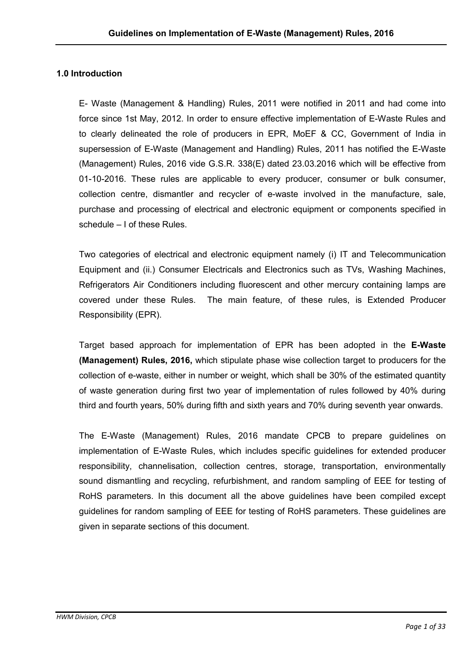#### 1.0 Introduction

E- Waste (Management & Handling) Rules, 2011 were notified in 2011 and had come into force since 1st May, 2012. In order to ensure effective implementation of E-Waste Rules and to clearly delineated the role of producers in EPR, MoEF & CC, Government of India in supersession of E-Waste (Management and Handling) Rules, 2011 has notified the E-Waste (Management) Rules, 2016 vide G.S.R. 338(E) dated 23.03.2016 which will be effective from 01-10-2016. These rules are applicable to every producer, consumer or bulk consumer, collection centre, dismantler and recycler of e-waste involved in the manufacture, sale, purchase and processing of electrical and electronic equipment or components specified in schedule – I of these Rules.

Two categories of electrical and electronic equipment namely (i) IT and Telecommunication Equipment and (ii.) Consumer Electricals and Electronics such as TVs, Washing Machines, Refrigerators Air Conditioners including fluorescent and other mercury containing lamps are covered under these Rules. The main feature, of these rules, is Extended Producer Responsibility (EPR).

Target based approach for implementation of EPR has been adopted in the E-Waste (Management) Rules, 2016, which stipulate phase wise collection target to producers for the collection of e-waste, either in number or weight, which shall be 30% of the estimated quantity of waste generation during first two year of implementation of rules followed by 40% during third and fourth years, 50% during fifth and sixth years and 70% during seventh year onwards.

The E-Waste (Management) Rules, 2016 mandate CPCB to prepare guidelines on implementation of E-Waste Rules, which includes specific guidelines for extended producer responsibility, channelisation, collection centres, storage, transportation, environmentally sound dismantling and recycling, refurbishment, and random sampling of EEE for testing of RoHS parameters. In this document all the above guidelines have been compiled except guidelines for random sampling of EEE for testing of RoHS parameters. These guidelines are given in separate sections of this document.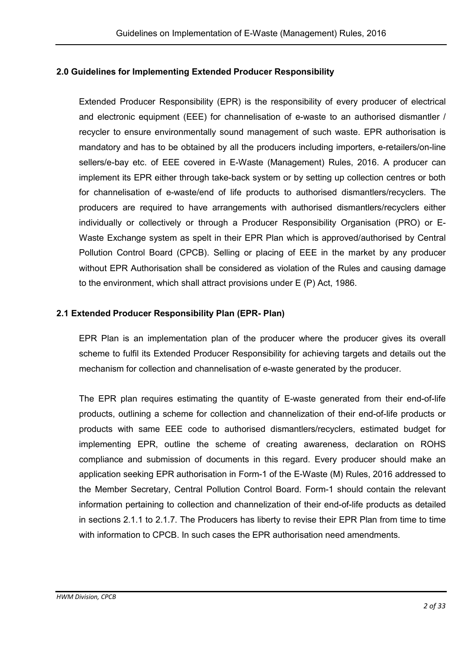## 2.0 Guidelines for Implementing Extended Producer Responsibility

Extended Producer Responsibility (EPR) is the responsibility of every producer of electrical and electronic equipment (EEE) for channelisation of e-waste to an authorised dismantler / recycler to ensure environmentally sound management of such waste. EPR authorisation is mandatory and has to be obtained by all the producers including importers, e-retailers/on-line sellers/e-bay etc. of EEE covered in E-Waste (Management) Rules, 2016. A producer can implement its EPR either through take-back system or by setting up collection centres or both for channelisation of e-waste/end of life products to authorised dismantlers/recyclers. The producers are required to have arrangements with authorised dismantlers/recyclers either individually or collectively or through a Producer Responsibility Organisation (PRO) or E-Waste Exchange system as spelt in their EPR Plan which is approved/authorised by Central Pollution Control Board (CPCB). Selling or placing of EEE in the market by any producer without EPR Authorisation shall be considered as violation of the Rules and causing damage to the environment, which shall attract provisions under E (P) Act, 1986.

## 2.1 Extended Producer Responsibility Plan (EPR- Plan)

EPR Plan is an implementation plan of the producer where the producer gives its overall scheme to fulfil its Extended Producer Responsibility for achieving targets and details out the mechanism for collection and channelisation of e-waste generated by the producer.

The EPR plan requires estimating the quantity of E-waste generated from their end-of-life products, outlining a scheme for collection and channelization of their end-of-life products or products with same EEE code to authorised dismantlers/recyclers, estimated budget for implementing EPR, outline the scheme of creating awareness, declaration on ROHS compliance and submission of documents in this regard. Every producer should make an application seeking EPR authorisation in Form-1 of the E-Waste (M) Rules, 2016 addressed to the Member Secretary, Central Pollution Control Board. Form-1 should contain the relevant information pertaining to collection and channelization of their end-of-life products as detailed in sections 2.1.1 to 2.1.7. The Producers has liberty to revise their EPR Plan from time to time with information to CPCB. In such cases the EPR authorisation need amendments.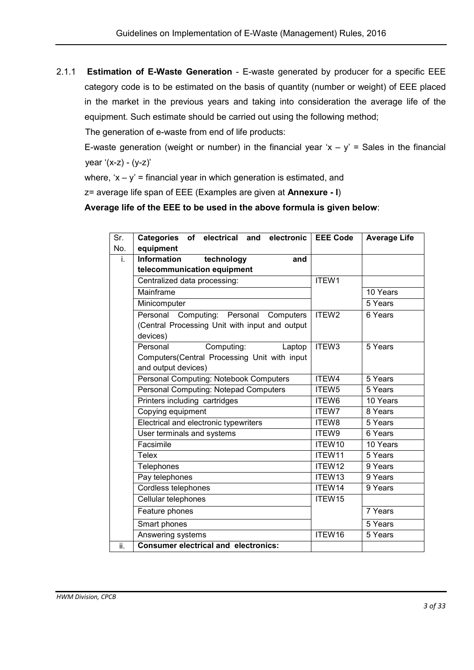2.1.1 Estimation of E-Waste Generation - E-waste generated by producer for a specific EEE category code is to be estimated on the basis of quantity (number or weight) of EEE placed in the market in the previous years and taking into consideration the average life of the equipment. Such estimate should be carried out using the following method;

The generation of e-waste from end of life products:

E-waste generation (weight or number) in the financial year 'x – y' = Sales in the financial  $year ' (x-z) - (y-z)'$ 

where,  $x - y' =$  financial year in which generation is estimated, and

z= average life span of EEE (Examples are given at Annexure - I)

Average life of the EEE to be used in the above formula is given below:

| Sr. | Categories of electrical and electronic EEE Code |                    | <b>Average Life</b> |
|-----|--------------------------------------------------|--------------------|---------------------|
| No. | equipment                                        |                    |                     |
| i.  | <b>Information</b><br>technology<br>and          |                    |                     |
|     | telecommunication equipment                      |                    |                     |
|     | Centralized data processing:                     | ITEW1              |                     |
|     | Mainframe                                        |                    | 10 Years            |
|     | Minicomputer                                     |                    | 5 Years             |
|     | Personal Computing: Personal Computers           | ITEW <sub>2</sub>  | 6 Years             |
|     | (Central Processing Unit with input and output   |                    |                     |
|     | devices)                                         |                    |                     |
|     | Computing:<br>Personal<br>Laptop                 | ITEW <sub>3</sub>  | 5 Years             |
|     | Computers(Central Processing Unit with input     |                    |                     |
|     | and output devices)                              |                    |                     |
|     | <b>Personal Computing: Notebook Computers</b>    | ITEW4              | 5 Years             |
|     | Personal Computing: Notepad Computers            | ITEW <sub>5</sub>  | 5 Years             |
|     | Printers including cartridges                    | ITEW6              | 10 Years            |
|     | Copying equipment                                | ITEW7              | 8 Years             |
|     | Electrical and electronic typewriters            | ITEW8              | 5 Years             |
|     | User terminals and systems                       | ITEW9              | 6 Years             |
|     | Facsimile                                        | ITEW10             | 10 Years            |
|     | <b>Telex</b>                                     | ITEW11             | 5 Years             |
|     | Telephones                                       | ITEW12             | 9 Years             |
|     | Pay telephones                                   | ITEW13             | 9 Years             |
|     | Cordless telephones                              | ITEW14             | 9 Years             |
|     | Cellular telephones                              | ITEW15             |                     |
|     | Feature phones                                   |                    | 7 Years             |
|     | Smart phones                                     |                    | 5 Years             |
|     | Answering systems                                | ITEW <sub>16</sub> | 5 Years             |
| ii. | <b>Consumer electrical and electronics:</b>      |                    |                     |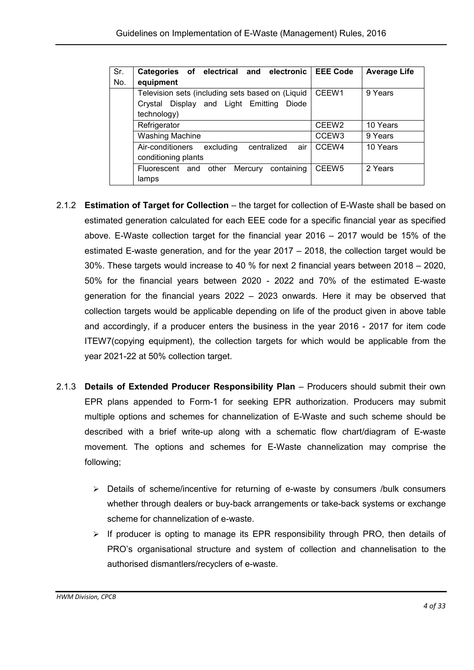| Sr. | Categories of electrical and electronic             | <b>EEE Code</b>   | <b>Average Life</b> |
|-----|-----------------------------------------------------|-------------------|---------------------|
| No. | equipment                                           |                   |                     |
|     | Television sets (including sets based on (Liquid    | CEEW1             | 9 Years             |
|     | Display and Light Emitting<br>Diode<br>Crystal      |                   |                     |
|     | technology)                                         |                   |                     |
|     | Refrigerator                                        | CEEW <sub>2</sub> | 10 Years            |
|     | <b>Washing Machine</b>                              | CCEW <sub>3</sub> | 9 Years             |
|     | Air-conditioners<br>centralized<br>air<br>excluding | CCEW4             | 10 Years            |
|     | conditioning plants                                 |                   |                     |
|     | containing<br>Mercury<br>other<br>Fluorescent and   | CEEW <sub>5</sub> | 2 Years             |
|     | lamps                                               |                   |                     |

- 2.1.2 **Estimation of Target for Collection** the target for collection of E-Waste shall be based on estimated generation calculated for each EEE code for a specific financial year as specified above. E-Waste collection target for the financial year 2016 – 2017 would be 15% of the estimated E-waste generation, and for the year 2017 – 2018, the collection target would be 30%. These targets would increase to 40 % for next 2 financial years between 2018 – 2020, 50% for the financial years between 2020 - 2022 and 70% of the estimated E-waste generation for the financial years 2022 – 2023 onwards. Here it may be observed that collection targets would be applicable depending on life of the product given in above table and accordingly, if a producer enters the business in the year 2016 - 2017 for item code ITEW7(copying equipment), the collection targets for which would be applicable from the year 2021-22 at 50% collection target.
- 2.1.3 Details of Extended Producer Responsibility Plan Producers should submit their own EPR plans appended to Form-1 for seeking EPR authorization. Producers may submit multiple options and schemes for channelization of E-Waste and such scheme should be described with a brief write-up along with a schematic flow chart/diagram of E-waste movement. The options and schemes for E-Waste channelization may comprise the following;
	- > Details of scheme/incentive for returning of e-waste by consumers /bulk consumers whether through dealers or buy-back arrangements or take-back systems or exchange scheme for channelization of e-waste.
	- $\triangleright$  If producer is opting to manage its EPR responsibility through PRO, then details of PRO's organisational structure and system of collection and channelisation to the authorised dismantlers/recyclers of e-waste.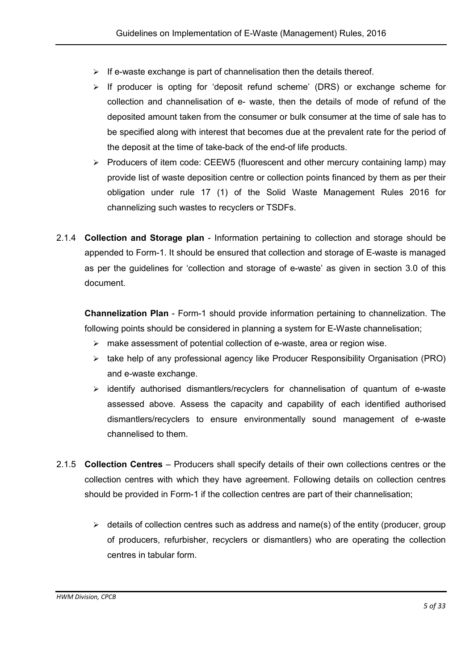- $\triangleright$  If e-waste exchange is part of channelisation then the details thereof.
- $\triangleright$  If producer is opting for 'deposit refund scheme' (DRS) or exchange scheme for collection and channelisation of e- waste, then the details of mode of refund of the deposited amount taken from the consumer or bulk consumer at the time of sale has to be specified along with interest that becomes due at the prevalent rate for the period of the deposit at the time of take-back of the end-of life products.
- > Producers of item code: CEEW5 (fluorescent and other mercury containing lamp) may provide list of waste deposition centre or collection points financed by them as per their obligation under rule 17 (1) of the Solid Waste Management Rules 2016 for channelizing such wastes to recyclers or TSDFs.
- 2.1.4 Collection and Storage plan Information pertaining to collection and storage should be appended to Form-1. It should be ensured that collection and storage of E-waste is managed as per the guidelines for 'collection and storage of e-waste' as given in section 3.0 of this document.

Channelization Plan - Form-1 should provide information pertaining to channelization. The following points should be considered in planning a system for E-Waste channelisation;

- make assessment of potential collection of e-waste, area or region wise.
- take help of any professional agency like Producer Responsibility Organisation (PRO) and e-waste exchange.
- $\triangleright$  identify authorised dismantlers/recyclers for channelisation of quantum of e-waste assessed above. Assess the capacity and capability of each identified authorised dismantlers/recyclers to ensure environmentally sound management of e-waste channelised to them.
- 2.1.5 Collection Centres Producers shall specify details of their own collections centres or the collection centres with which they have agreement. Following details on collection centres should be provided in Form-1 if the collection centres are part of their channelisation;
	- $\triangleright$  details of collection centres such as address and name(s) of the entity (producer, group of producers, refurbisher, recyclers or dismantlers) who are operating the collection centres in tabular form.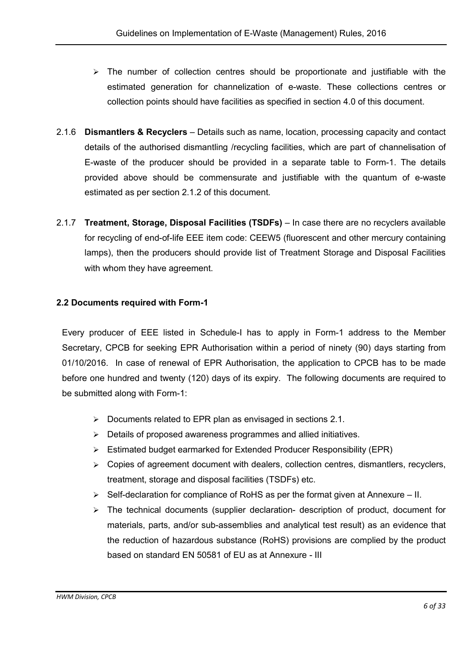- $\triangleright$  The number of collection centres should be proportionate and justifiable with the estimated generation for channelization of e-waste. These collections centres or collection points should have facilities as specified in section 4.0 of this document.
- 2.1.6 **Dismantlers & Recyclers** Details such as name, location, processing capacity and contact details of the authorised dismantling /recycling facilities, which are part of channelisation of E-waste of the producer should be provided in a separate table to Form-1. The details provided above should be commensurate and justifiable with the quantum of e-waste estimated as per section 2.1.2 of this document.
- 2.1.7 Treatment, Storage, Disposal Facilities (TSDFs) In case there are no recyclers available for recycling of end-of-life EEE item code: CEEW5 (fluorescent and other mercury containing lamps), then the producers should provide list of Treatment Storage and Disposal Facilities with whom they have agreement.

## 2.2 Documents required with Form-1

Every producer of EEE listed in Schedule-I has to apply in Form-1 address to the Member Secretary, CPCB for seeking EPR Authorisation within a period of ninety (90) days starting from 01/10/2016. In case of renewal of EPR Authorisation, the application to CPCB has to be made before one hundred and twenty (120) days of its expiry. The following documents are required to be submitted along with Form-1:

- $\triangleright$  Documents related to EPR plan as envisaged in sections 2.1.
- $\triangleright$  Details of proposed awareness programmes and allied initiatives.
- $\triangleright$  Estimated budget earmarked for Extended Producer Responsibility (EPR)
- $\triangleright$  Copies of agreement document with dealers, collection centres, dismantlers, recyclers, treatment, storage and disposal facilities (TSDFs) etc.
- $\triangleright$  Self-declaration for compliance of RoHS as per the format given at Annexure II.
- $\triangleright$  The technical documents (supplier declaration- description of product, document for materials, parts, and/or sub-assemblies and analytical test result) as an evidence that the reduction of hazardous substance (RoHS) provisions are complied by the product based on standard EN 50581 of EU as at Annexure - III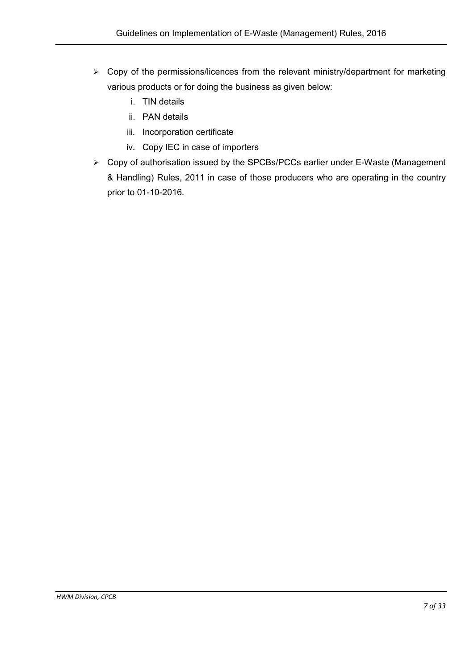- $\triangleright$  Copy of the permissions/licences from the relevant ministry/department for marketing various products or for doing the business as given below:
	- i. TIN details
	- ii. PAN details
	- iii. Incorporation certificate
	- iv. Copy IEC in case of importers
- ▶ Copy of authorisation issued by the SPCBs/PCCs earlier under E-Waste (Management & Handling) Rules, 2011 in case of those producers who are operating in the country prior to 01-10-2016.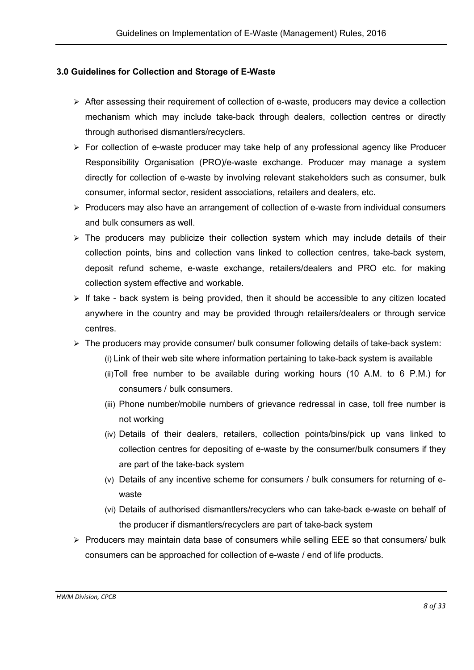#### 3.0 Guidelines for Collection and Storage of E-Waste

- $\triangleright$  After assessing their requirement of collection of e-waste, producers may device a collection mechanism which may include take-back through dealers, collection centres or directly through authorised dismantlers/recyclers.
- $\triangleright$  For collection of e-waste producer may take help of any professional agency like Producer Responsibility Organisation (PRO)/e-waste exchange. Producer may manage a system directly for collection of e-waste by involving relevant stakeholders such as consumer, bulk consumer, informal sector, resident associations, retailers and dealers, etc.
- $\triangleright$  Producers may also have an arrangement of collection of e-waste from individual consumers and bulk consumers as well.
- $\triangleright$  The producers may publicize their collection system which may include details of their collection points, bins and collection vans linked to collection centres, take-back system, deposit refund scheme, e-waste exchange, retailers/dealers and PRO etc. for making collection system effective and workable.
- $\triangleright$  If take back system is being provided, then it should be accessible to any citizen located anywhere in the country and may be provided through retailers/dealers or through service centres.
- > The producers may provide consumer/ bulk consumer following details of take-back system:
	- (i) Link of their web site where information pertaining to take-back system is available
	- (ii)Toll free number to be available during working hours (10 A.M. to 6 P.M.) for consumers / bulk consumers.
	- (iii) Phone number/mobile numbers of grievance redressal in case, toll free number is not working
	- (iv) Details of their dealers, retailers, collection points/bins/pick up vans linked to collection centres for depositing of e-waste by the consumer/bulk consumers if they are part of the take-back system
	- (v) Details of any incentive scheme for consumers / bulk consumers for returning of ewaste
	- (vi) Details of authorised dismantlers/recyclers who can take-back e-waste on behalf of the producer if dismantlers/recyclers are part of take-back system
- $\triangleright$  Producers may maintain data base of consumers while selling EEE so that consumers/ bulk consumers can be approached for collection of e-waste / end of life products.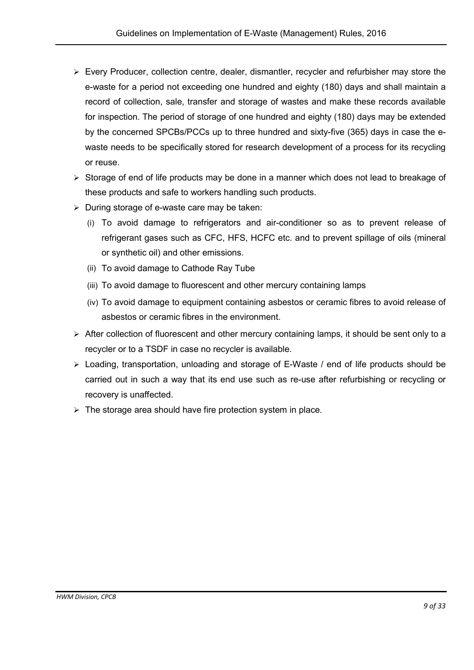- $\triangleright$  Every Producer, collection centre, dealer, dismantler, recycler and refurbisher may store the e-waste for a period not exceeding one hundred and eighty (180) days and shall maintain a record of collection, sale, transfer and storage of wastes and make these records available for inspection. The period of storage of one hundred and eighty (180) days may be extended by the concerned SPCBs/PCCs up to three hundred and sixty-five (365) days in case the ewaste needs to be specifically stored for research development of a process for its recycling or reuse.
- $\triangleright$  Storage of end of life products may be done in a manner which does not lead to breakage of these products and safe to workers handling such products.
- $\triangleright$  During storage of e-waste care may be taken:
	- (i) To avoid damage to refrigerators and air-conditioner so as to prevent release of refrigerant gases such as CFC, HFS, HCFC etc. and to prevent spillage of oils (mineral or synthetic oil) and other emissions.
	- (ii) To avoid damage to Cathode Ray Tube
	- (iii) To avoid damage to fluorescent and other mercury containing lamps
	- (iv) To avoid damage to equipment containing asbestos or ceramic fibres to avoid release of asbestos or ceramic fibres in the environment.
- $\triangleright$  After collection of fluorescent and other mercury containing lamps, it should be sent only to a recycler or to a TSDF in case no recycler is available.
- Loading, transportation, unloading and storage of E-Waste / end of life products should be carried out in such a way that its end use such as re-use after refurbishing or recycling or recovery is unaffected.
- $\triangleright$  The storage area should have fire protection system in place.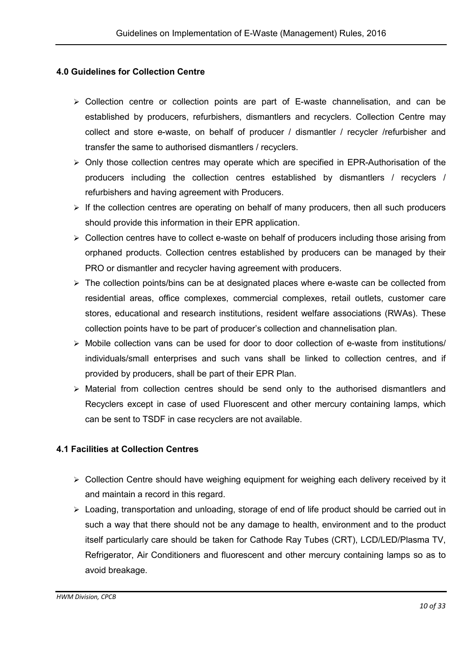#### 4.0 Guidelines for Collection Centre

- $\triangleright$  Collection centre or collection points are part of E-waste channelisation, and can be established by producers, refurbishers, dismantlers and recyclers. Collection Centre may collect and store e-waste, on behalf of producer / dismantler / recycler /refurbisher and transfer the same to authorised dismantlers / recyclers.
- $\triangleright$  Only those collection centres may operate which are specified in EPR-Authorisation of the producers including the collection centres established by dismantlers / recyclers / refurbishers and having agreement with Producers.
- $\triangleright$  If the collection centres are operating on behalf of many producers, then all such producers should provide this information in their EPR application.
- $\triangleright$  Collection centres have to collect e-waste on behalf of producers including those arising from orphaned products. Collection centres established by producers can be managed by their PRO or dismantler and recycler having agreement with producers.
- $\triangleright$  The collection points/bins can be at designated places where e-waste can be collected from residential areas, office complexes, commercial complexes, retail outlets, customer care stores, educational and research institutions, resident welfare associations (RWAs). These collection points have to be part of producer's collection and channelisation plan.
- $\triangleright$  Mobile collection vans can be used for door to door collection of e-waste from institutions/ individuals/small enterprises and such vans shall be linked to collection centres, and if provided by producers, shall be part of their EPR Plan.
- $\triangleright$  Material from collection centres should be send only to the authorised dismantlers and Recyclers except in case of used Fluorescent and other mercury containing lamps, which can be sent to TSDF in case recyclers are not available.

#### 4.1 Facilities at Collection Centres

- Collection Centre should have weighing equipment for weighing each delivery received by it and maintain a record in this regard.
- Loading, transportation and unloading, storage of end of life product should be carried out in such a way that there should not be any damage to health, environment and to the product itself particularly care should be taken for Cathode Ray Tubes (CRT), LCD/LED/Plasma TV, Refrigerator, Air Conditioners and fluorescent and other mercury containing lamps so as to avoid breakage.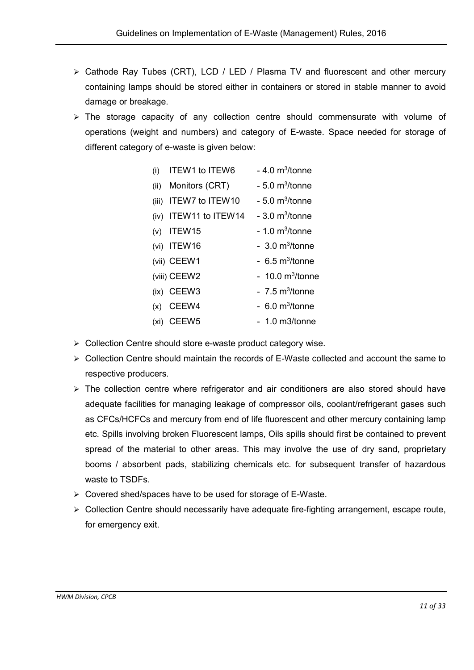- $\triangleright$  Cathode Ray Tubes (CRT), LCD / LED / Plasma TV and fluorescent and other mercury containing lamps should be stored either in containers or stored in stable manner to avoid damage or breakage.
- > The storage capacity of any collection centre should commensurate with volume of operations (weight and numbers) and category of E-waste. Space needed for storage of different category of e-waste is given below:

| (i)   | <b>ITEW1 to ITEW6</b>  | $-4.0$ m <sup>3</sup> /tonne  |
|-------|------------------------|-------------------------------|
| (ii)  | Monitors (CRT)         | $-5.0$ m <sup>3</sup> /tonne  |
| (iii) | <b>ITEW7 to ITEW10</b> | $-5.0$ m <sup>3</sup> /tonne  |
| (iv)  | ITEW11 to ITEW14       | $-3.0 \text{ m}^3$ /tonne     |
| (v)   | ITEW15                 | $-1.0$ m <sup>3</sup> /tonne  |
|       | $(vi)$ ITEW16          | $-3.0 \text{ m}^3$ /tonne     |
|       | (vii) CEEW1            | $-6.5 \text{ m}^3$ /tonne     |
|       | (viii) CEEW2           | $-10.0$ m <sup>3</sup> /tonne |
|       | (ix) CEEW3             | $-7.5 \text{ m}^3$ /tonne     |
| (x)   | CEEW4                  | $-6.0$ m <sup>3</sup> /tonne  |
| (xi)  | CEEW <sub>5</sub>      | $-1.0$ m3/tonne               |

- $\triangleright$  Collection Centre should store e-waste product category wise.
- $\triangleright$  Collection Centre should maintain the records of E-Waste collected and account the same to respective producers.
- $\triangleright$  The collection centre where refrigerator and air conditioners are also stored should have adequate facilities for managing leakage of compressor oils, coolant/refrigerant gases such as CFCs/HCFCs and mercury from end of life fluorescent and other mercury containing lamp etc. Spills involving broken Fluorescent lamps, Oils spills should first be contained to prevent spread of the material to other areas. This may involve the use of dry sand, proprietary booms / absorbent pads, stabilizing chemicals etc. for subsequent transfer of hazardous waste to TSDFs.
- Covered shed/spaces have to be used for storage of E-Waste.
- $\triangleright$  Collection Centre should necessarily have adequate fire-fighting arrangement, escape route, for emergency exit.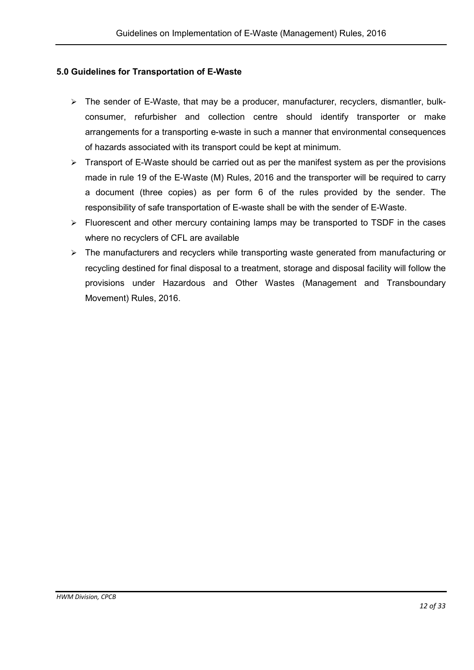#### 5.0 Guidelines for Transportation of E-Waste

- $\triangleright$  The sender of E-Waste, that may be a producer, manufacturer, recyclers, dismantler, bulkconsumer, refurbisher and collection centre should identify transporter or make arrangements for a transporting e-waste in such a manner that environmental consequences of hazards associated with its transport could be kept at minimum.
- $\triangleright$  Transport of E-Waste should be carried out as per the manifest system as per the provisions made in rule 19 of the E-Waste (M) Rules, 2016 and the transporter will be required to carry a document (three copies) as per form 6 of the rules provided by the sender. The responsibility of safe transportation of E-waste shall be with the sender of E-Waste.
- $\triangleright$  Fluorescent and other mercury containing lamps may be transported to TSDF in the cases where no recyclers of CFL are available
- $\triangleright$  The manufacturers and recyclers while transporting waste generated from manufacturing or recycling destined for final disposal to a treatment, storage and disposal facility will follow the provisions under Hazardous and Other Wastes (Management and Transboundary Movement) Rules, 2016.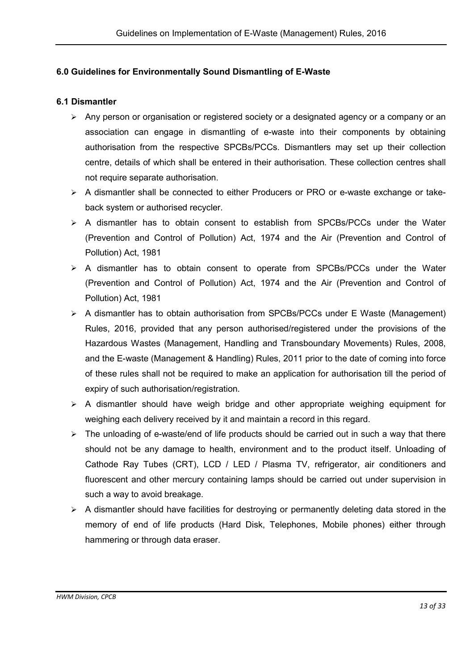## 6.0 Guidelines for Environmentally Sound Dismantling of E-Waste

#### 6.1 Dismantler

- Any person or organisation or registered society or a designated agency or a company or an association can engage in dismantling of e-waste into their components by obtaining authorisation from the respective SPCBs/PCCs. Dismantlers may set up their collection centre, details of which shall be entered in their authorisation. These collection centres shall not require separate authorisation.
- A dismantler shall be connected to either Producers or PRO or e-waste exchange or takeback system or authorised recycler.
- $\geq$  A dismantler has to obtain consent to establish from SPCBs/PCCs under the Water (Prevention and Control of Pollution) Act, 1974 and the Air (Prevention and Control of Pollution) Act, 1981
- $\geq$  A dismantler has to obtain consent to operate from SPCBs/PCCs under the Water (Prevention and Control of Pollution) Act, 1974 and the Air (Prevention and Control of Pollution) Act, 1981
- A dismantler has to obtain authorisation from SPCBs/PCCs under E Waste (Management) Rules, 2016, provided that any person authorised/registered under the provisions of the Hazardous Wastes (Management, Handling and Transboundary Movements) Rules, 2008, and the E-waste (Management & Handling) Rules, 2011 prior to the date of coming into force of these rules shall not be required to make an application for authorisation till the period of expiry of such authorisation/registration.
- $\triangleright$  A dismantler should have weigh bridge and other appropriate weighing equipment for weighing each delivery received by it and maintain a record in this regard.
- $\triangleright$  The unloading of e-waste/end of life products should be carried out in such a way that there should not be any damage to health, environment and to the product itself. Unloading of Cathode Ray Tubes (CRT), LCD / LED / Plasma TV, refrigerator, air conditioners and fluorescent and other mercury containing lamps should be carried out under supervision in such a way to avoid breakage.
- $\triangleright$  A dismantler should have facilities for destroving or permanently deleting data stored in the memory of end of life products (Hard Disk, Telephones, Mobile phones) either through hammering or through data eraser.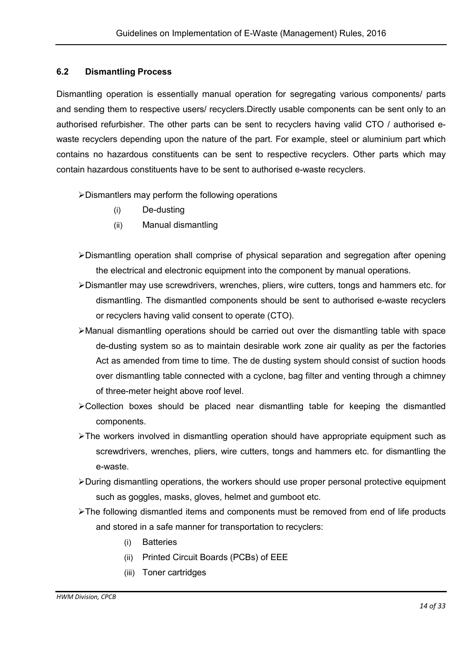#### 6.2 Dismantling Process

Dismantling operation is essentially manual operation for segregating various components/ parts and sending them to respective users/ recyclers.Directly usable components can be sent only to an authorised refurbisher. The other parts can be sent to recyclers having valid CTO / authorised ewaste recyclers depending upon the nature of the part. For example, steel or aluminium part which contains no hazardous constituents can be sent to respective recyclers. Other parts which may contain hazardous constituents have to be sent to authorised e-waste recyclers.

Dismantlers may perform the following operations

- (i) De-dusting
- (ii) Manual dismantling
- Dismantling operation shall comprise of physical separation and segregation after opening the electrical and electronic equipment into the component by manual operations.
- Dismantler may use screwdrivers, wrenches, pliers, wire cutters, tongs and hammers etc. for dismantling. The dismantled components should be sent to authorised e-waste recyclers or recyclers having valid consent to operate (CTO).
- Manual dismantling operations should be carried out over the dismantling table with space de-dusting system so as to maintain desirable work zone air quality as per the factories Act as amended from time to time. The de dusting system should consist of suction hoods over dismantling table connected with a cyclone, bag filter and venting through a chimney of three-meter height above roof level.
- $\blacktriangleright$  Collection boxes should be placed near dismantling table for keeping the dismantled components.
- The workers involved in dismantling operation should have appropriate equipment such as screwdrivers, wrenches, pliers, wire cutters, tongs and hammers etc. for dismantling the e-waste.
- During dismantling operations, the workers should use proper personal protective equipment such as goggles, masks, gloves, helmet and gumboot etc.
- $\triangleright$ The following dismantled items and components must be removed from end of life products and stored in a safe manner for transportation to recyclers:
	- (i) Batteries
	- (ii) Printed Circuit Boards (PCBs) of EEE
	- (iii) Toner cartridges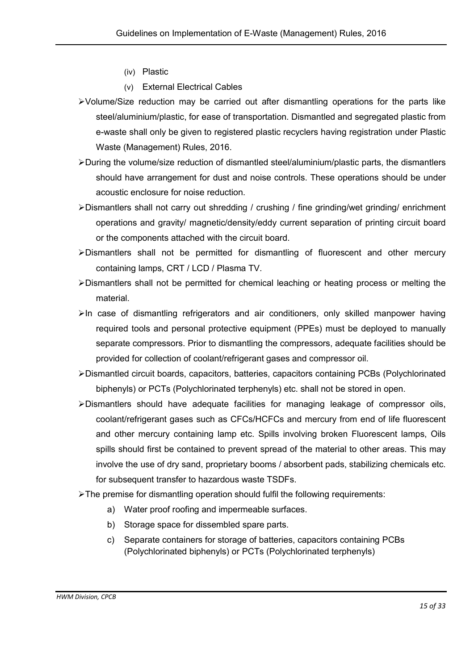- (iv) Plastic
- (v) External Electrical Cables
- Volume/Size reduction may be carried out after dismantling operations for the parts like steel/aluminium/plastic, for ease of transportation. Dismantled and segregated plastic from e-waste shall only be given to registered plastic recyclers having registration under Plastic Waste (Management) Rules, 2016.
- During the volume/size reduction of dismantled steel/aluminium/plastic parts, the dismantlers should have arrangement for dust and noise controls. These operations should be under acoustic enclosure for noise reduction.
- Dismantlers shall not carry out shredding / crushing / fine grinding/wet grinding/ enrichment operations and gravity/ magnetic/density/eddy current separation of printing circuit board or the components attached with the circuit board.
- Dismantlers shall not be permitted for dismantling of fluorescent and other mercury containing lamps, CRT / LCD / Plasma TV.
- Dismantlers shall not be permitted for chemical leaching or heating process or melting the material.
- $\triangleright$ In case of dismantling refrigerators and air conditioners, only skilled manpower having required tools and personal protective equipment (PPEs) must be deployed to manually separate compressors. Prior to dismantling the compressors, adequate facilities should be provided for collection of coolant/refrigerant gases and compressor oil.
- Dismantled circuit boards, capacitors, batteries, capacitors containing PCBs (Polychlorinated biphenyls) or PCTs (Polychlorinated terphenyls) etc. shall not be stored in open.
- Dismantlers should have adequate facilities for managing leakage of compressor oils, coolant/refrigerant gases such as CFCs/HCFCs and mercury from end of life fluorescent and other mercury containing lamp etc. Spills involving broken Fluorescent lamps, Oils spills should first be contained to prevent spread of the material to other areas. This may involve the use of dry sand, proprietary booms / absorbent pads, stabilizing chemicals etc. for subsequent transfer to hazardous waste TSDFs.
- The premise for dismantling operation should fulfil the following requirements:
	- a) Water proof roofing and impermeable surfaces.
	- b) Storage space for dissembled spare parts.
	- c) Separate containers for storage of batteries, capacitors containing PCBs (Polychlorinated biphenyls) or PCTs (Polychlorinated terphenyls)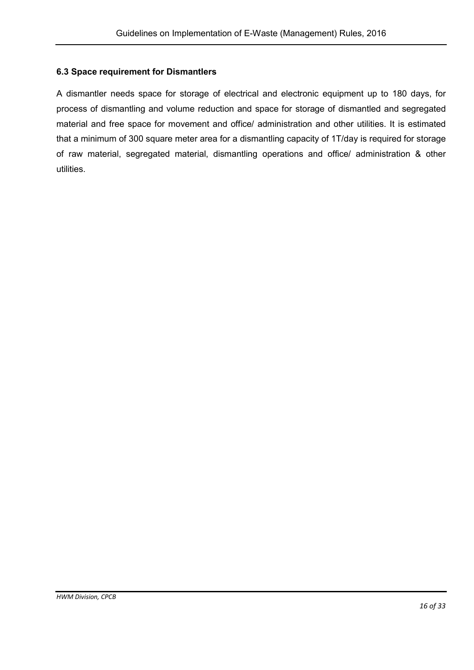## 6.3 Space requirement for Dismantlers

A dismantler needs space for storage of electrical and electronic equipment up to 180 days, for process of dismantling and volume reduction and space for storage of dismantled and segregated material and free space for movement and office/ administration and other utilities. It is estimated that a minimum of 300 square meter area for a dismantling capacity of 1T/day is required for storage of raw material, segregated material, dismantling operations and office/ administration & other utilities.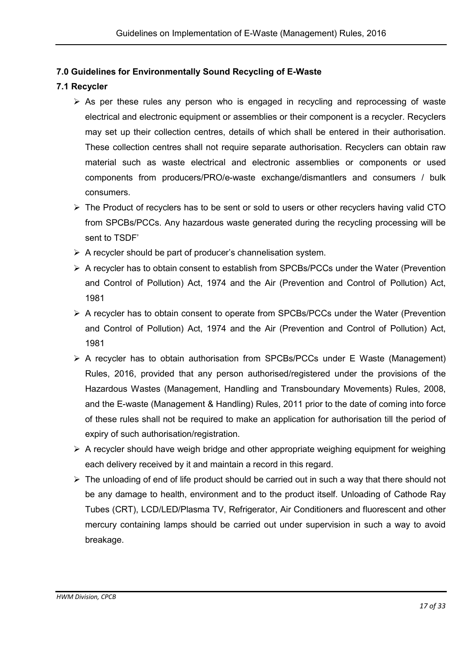## 7.0 Guidelines for Environmentally Sound Recycling of E-Waste

## 7.1 Recycler

- $\triangleright$  As per these rules any person who is engaged in recycling and reprocessing of waste electrical and electronic equipment or assemblies or their component is a recycler. Recyclers may set up their collection centres, details of which shall be entered in their authorisation. These collection centres shall not require separate authorisation. Recyclers can obtain raw material such as waste electrical and electronic assemblies or components or used components from producers/PRO/e-waste exchange/dismantlers and consumers / bulk consumers.
- $\triangleright$  The Product of recyclers has to be sent or sold to users or other recyclers having valid CTO from SPCBs/PCCs. Any hazardous waste generated during the recycling processing will be sent to TSDF'
- $\triangleright$  A recycler should be part of producer's channelisation system.
- $\triangleright$  A recycler has to obtain consent to establish from SPCBs/PCCs under the Water (Prevention and Control of Pollution) Act, 1974 and the Air (Prevention and Control of Pollution) Act, 1981
- A recycler has to obtain consent to operate from SPCBs/PCCs under the Water (Prevention and Control of Pollution) Act, 1974 and the Air (Prevention and Control of Pollution) Act, 1981
- $\triangleright$  A recycler has to obtain authorisation from SPCBs/PCCs under E Waste (Management) Rules, 2016, provided that any person authorised/registered under the provisions of the Hazardous Wastes (Management, Handling and Transboundary Movements) Rules, 2008, and the E-waste (Management & Handling) Rules, 2011 prior to the date of coming into force of these rules shall not be required to make an application for authorisation till the period of expiry of such authorisation/registration.
- $\triangleright$  A recycler should have weigh bridge and other appropriate weighing equipment for weighing each delivery received by it and maintain a record in this regard.
- $\triangleright$  The unloading of end of life product should be carried out in such a way that there should not be any damage to health, environment and to the product itself. Unloading of Cathode Ray Tubes (CRT), LCD/LED/Plasma TV, Refrigerator, Air Conditioners and fluorescent and other mercury containing lamps should be carried out under supervision in such a way to avoid breakage.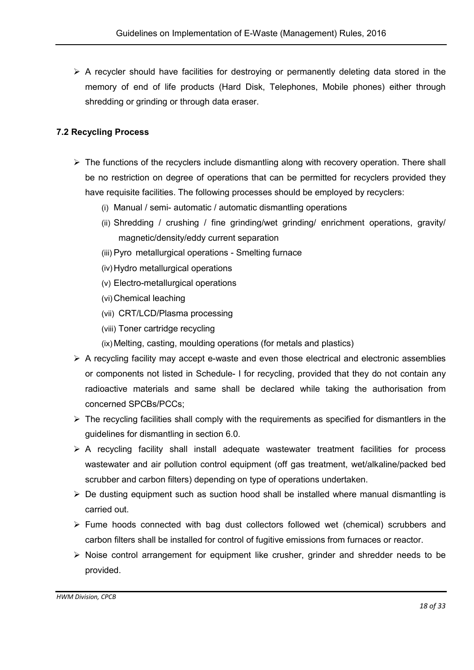$\triangleright$  A recycler should have facilities for destroying or permanently deleting data stored in the memory of end of life products (Hard Disk, Telephones, Mobile phones) either through shredding or grinding or through data eraser.

## 7.2 Recycling Process

- $\triangleright$  The functions of the recyclers include dismantling along with recovery operation. There shall be no restriction on degree of operations that can be permitted for recyclers provided they have requisite facilities. The following processes should be employed by recyclers:
	- (i) Manual / semi- automatic / automatic dismantling operations
	- (ii) Shredding / crushing / fine grinding/wet grinding/ enrichment operations, gravity/ magnetic/density/eddy current separation
	- (iii) Pyro metallurgical operations Smelting furnace
	- (iv)Hydro metallurgical operations
	- (v) Electro-metallurgical operations
	- (vi)Chemical leaching
	- (vii) CRT/LCD/Plasma processing
	- (viii) Toner cartridge recycling
	- (ix) Melting, casting, moulding operations (for metals and plastics)
- $\triangleright$  A recycling facility may accept e-waste and even those electrical and electronic assemblies or components not listed in Schedule- I for recycling, provided that they do not contain any radioactive materials and same shall be declared while taking the authorisation from concerned SPCBs/PCCs;
- $\triangleright$  The recycling facilities shall comply with the requirements as specified for dismantlers in the guidelines for dismantling in section 6.0.
- $\triangleright$  A recycling facility shall install adequate wastewater treatment facilities for process wastewater and air pollution control equipment (off gas treatment, wet/alkaline/packed bed scrubber and carbon filters) depending on type of operations undertaken.
- $\triangleright$  De dusting equipment such as suction hood shall be installed where manual dismantling is carried out.
- $\triangleright$  Fume hoods connected with bag dust collectors followed wet (chemical) scrubbers and carbon filters shall be installed for control of fugitive emissions from furnaces or reactor.
- $\triangleright$  Noise control arrangement for equipment like crusher, grinder and shredder needs to be provided.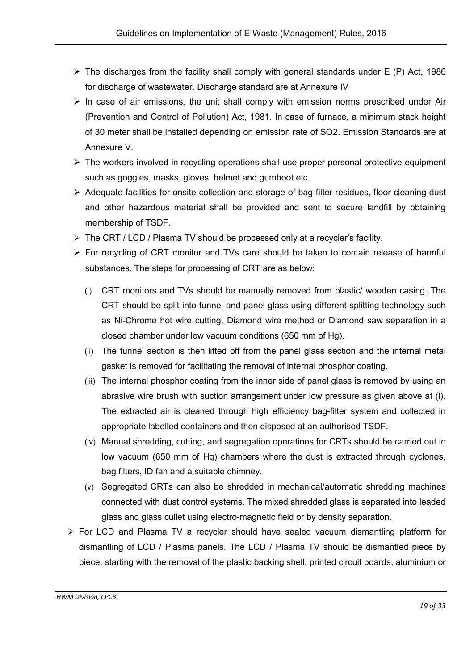- $\triangleright$  The discharges from the facility shall comply with general standards under E (P) Act, 1986 for discharge of wastewater. Discharge standard are at Annexure IV
- $\triangleright$  In case of air emissions, the unit shall comply with emission norms prescribed under Air (Prevention and Control of Pollution) Act, 1981. In case of furnace, a minimum stack height of 30 meter shall be installed depending on emission rate of SO2. Emission Standards are at Annexure V.
- $\triangleright$  The workers involved in recycling operations shall use proper personal protective equipment such as goggles, masks, gloves, helmet and gumboot etc.
- $\triangleright$  Adequate facilities for onsite collection and storage of bag filter residues, floor cleaning dust and other hazardous material shall be provided and sent to secure landfill by obtaining membership of TSDF.
- > The CRT / LCD / Plasma TV should be processed only at a recycler's facility.
- For recycling of CRT monitor and TVs care should be taken to contain release of harmful substances. The steps for processing of CRT are as below:
	- (i) CRT monitors and TVs should be manually removed from plastic/ wooden casing. The CRT should be split into funnel and panel glass using different splitting technology such as Ni-Chrome hot wire cutting, Diamond wire method or Diamond saw separation in a closed chamber under low vacuum conditions (650 mm of Hg).
	- (ii) The funnel section is then lifted off from the panel glass section and the internal metal gasket is removed for facilitating the removal of internal phosphor coating.
	- (iii) The internal phosphor coating from the inner side of panel glass is removed by using an abrasive wire brush with suction arrangement under low pressure as given above at (i). The extracted air is cleaned through high efficiency bag-filter system and collected in appropriate labelled containers and then disposed at an authorised TSDF.
	- (iv) Manual shredding, cutting, and segregation operations for CRTs should be carried out in low vacuum (650 mm of Hg) chambers where the dust is extracted through cyclones, bag filters, ID fan and a suitable chimney.
	- (v) Segregated CRTs can also be shredded in mechanical/automatic shredding machines connected with dust control systems. The mixed shredded glass is separated into leaded glass and glass cullet using electro-magnetic field or by density separation.
- For LCD and Plasma TV a recycler should have sealed vacuum dismantling platform for dismantling of LCD / Plasma panels. The LCD / Plasma TV should be dismantled piece by piece, starting with the removal of the plastic backing shell, printed circuit boards, aluminium or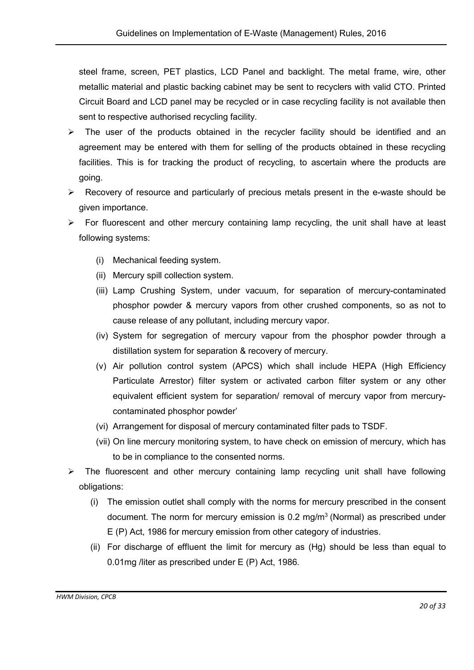steel frame, screen, PET plastics, LCD Panel and backlight. The metal frame, wire, other metallic material and plastic backing cabinet may be sent to recyclers with valid CTO. Printed Circuit Board and LCD panel may be recycled or in case recycling facility is not available then sent to respective authorised recycling facility.

- $\triangleright$  The user of the products obtained in the recycler facility should be identified and an agreement may be entered with them for selling of the products obtained in these recycling facilities. This is for tracking the product of recycling, to ascertain where the products are going.
- $\triangleright$  Recovery of resource and particularly of precious metals present in the e-waste should be given importance.
- $\triangleright$  For fluorescent and other mercury containing lamp recycling, the unit shall have at least following systems:
	- (i) Mechanical feeding system.
	- (ii) Mercury spill collection system.
	- (iii) Lamp Crushing System, under vacuum, for separation of mercury-contaminated phosphor powder & mercury vapors from other crushed components, so as not to cause release of any pollutant, including mercury vapor.
	- (iv) System for segregation of mercury vapour from the phosphor powder through a distillation system for separation & recovery of mercury.
	- (v) Air pollution control system (APCS) which shall include HEPA (High Efficiency Particulate Arrestor) filter system or activated carbon filter system or any other equivalent efficient system for separation/ removal of mercury vapor from mercurycontaminated phosphor powder'
	- (vi) Arrangement for disposal of mercury contaminated filter pads to TSDF.
	- (vii) On line mercury monitoring system, to have check on emission of mercury, which has to be in compliance to the consented norms.
- $\triangleright$  The fluorescent and other mercury containing lamp recycling unit shall have following obligations:
	- (i) The emission outlet shall comply with the norms for mercury prescribed in the consent document. The norm for mercury emission is  $0.2 \text{ mg/m}^3$  (Normal) as prescribed under E (P) Act, 1986 for mercury emission from other category of industries.
	- (ii) For discharge of effluent the limit for mercury as (Hg) should be less than equal to 0.01mg /liter as prescribed under E (P) Act, 1986.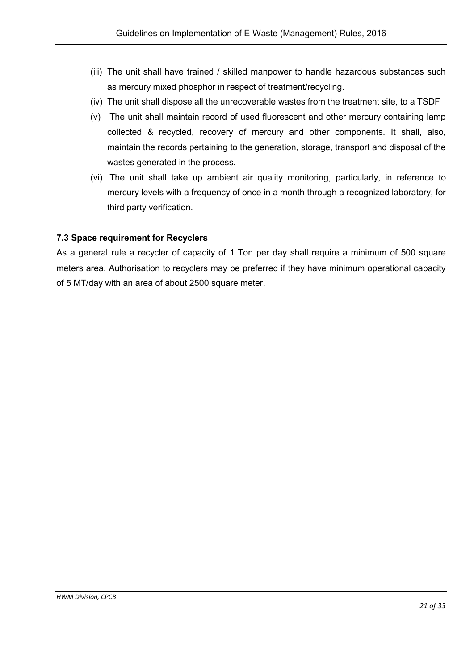- (iii) The unit shall have trained / skilled manpower to handle hazardous substances such as mercury mixed phosphor in respect of treatment/recycling.
- (iv) The unit shall dispose all the unrecoverable wastes from the treatment site, to a TSDF
- (v) The unit shall maintain record of used fluorescent and other mercury containing lamp collected & recycled, recovery of mercury and other components. It shall, also, maintain the records pertaining to the generation, storage, transport and disposal of the wastes generated in the process.
- (vi) The unit shall take up ambient air quality monitoring, particularly, in reference to mercury levels with a frequency of once in a month through a recognized laboratory, for third party verification.

## 7.3 Space requirement for Recyclers

As a general rule a recycler of capacity of 1 Ton per day shall require a minimum of 500 square meters area. Authorisation to recyclers may be preferred if they have minimum operational capacity of 5 MT/day with an area of about 2500 square meter.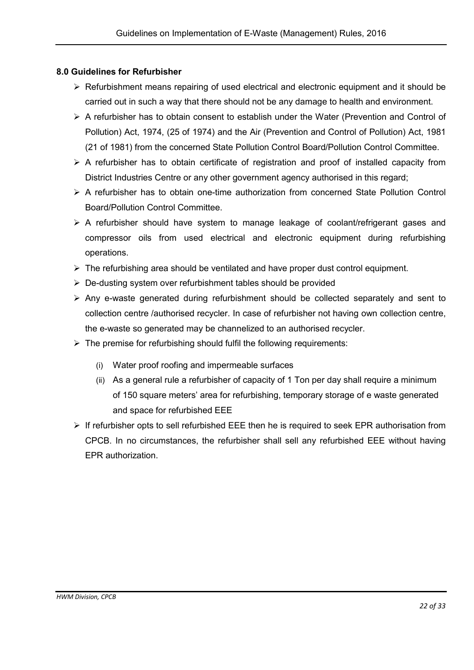## 8.0 Guidelines for Refurbisher

- $\triangleright$  Refurbishment means repairing of used electrical and electronic equipment and it should be carried out in such a way that there should not be any damage to health and environment.
- $\triangleright$  A refurbisher has to obtain consent to establish under the Water (Prevention and Control of Pollution) Act, 1974, (25 of 1974) and the Air (Prevention and Control of Pollution) Act, 1981 (21 of 1981) from the concerned State Pollution Control Board/Pollution Control Committee.
- $\triangleright$  A refurbisher has to obtain certificate of registration and proof of installed capacity from District Industries Centre or any other government agency authorised in this regard;
- $\triangleright$  A refurbisher has to obtain one-time authorization from concerned State Pollution Control Board/Pollution Control Committee.
- A refurbisher should have system to manage leakage of coolant/refrigerant gases and compressor oils from used electrical and electronic equipment during refurbishing operations.
- $\triangleright$  The refurbishing area should be ventilated and have proper dust control equipment.
- $\triangleright$  De-dusting system over refurbishment tables should be provided
- $\triangleright$  Any e-waste generated during refurbishment should be collected separately and sent to collection centre /authorised recycler. In case of refurbisher not having own collection centre, the e-waste so generated may be channelized to an authorised recycler.
- $\triangleright$  The premise for refurbishing should fulfil the following requirements:
	- (i) Water proof roofing and impermeable surfaces
	- (ii) As a general rule a refurbisher of capacity of 1 Ton per day shall require a minimum of 150 square meters' area for refurbishing, temporary storage of e waste generated and space for refurbished EEE
- $\triangleright$  If refurbisher opts to sell refurbished EEE then he is required to seek EPR authorisation from CPCB. In no circumstances, the refurbisher shall sell any refurbished EEE without having EPR authorization.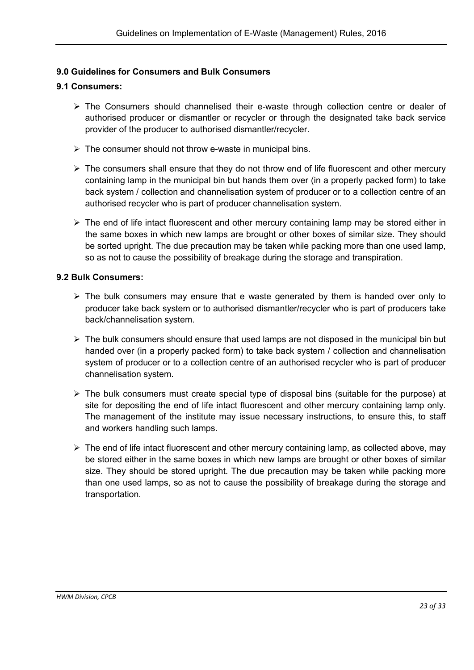## 9.0 Guidelines for Consumers and Bulk Consumers

#### 9.1 Consumers:

- The Consumers should channelised their e-waste through collection centre or dealer of authorised producer or dismantler or recycler or through the designated take back service provider of the producer to authorised dismantler/recycler.
- $\triangleright$  The consumer should not throw e-waste in municipal bins.
- $\triangleright$  The consumers shall ensure that they do not throw end of life fluorescent and other mercury containing lamp in the municipal bin but hands them over (in a properly packed form) to take back system / collection and channelisation system of producer or to a collection centre of an authorised recycler who is part of producer channelisation system.
- $\triangleright$  The end of life intact fluorescent and other mercury containing lamp may be stored either in the same boxes in which new lamps are brought or other boxes of similar size. They should be sorted upright. The due precaution may be taken while packing more than one used lamp, so as not to cause the possibility of breakage during the storage and transpiration.

#### 9.2 Bulk Consumers:

- $\triangleright$  The bulk consumers may ensure that e waste generated by them is handed over only to producer take back system or to authorised dismantler/recycler who is part of producers take back/channelisation system.
- $\triangleright$  The bulk consumers should ensure that used lamps are not disposed in the municipal bin but handed over (in a properly packed form) to take back system / collection and channelisation system of producer or to a collection centre of an authorised recycler who is part of producer channelisation system.
- $\triangleright$  The bulk consumers must create special type of disposal bins (suitable for the purpose) at site for depositing the end of life intact fluorescent and other mercury containing lamp only. The management of the institute may issue necessary instructions, to ensure this, to staff and workers handling such lamps.
- $\triangleright$  The end of life intact fluorescent and other mercury containing lamp, as collected above, may be stored either in the same boxes in which new lamps are brought or other boxes of similar size. They should be stored upright. The due precaution may be taken while packing more than one used lamps, so as not to cause the possibility of breakage during the storage and transportation.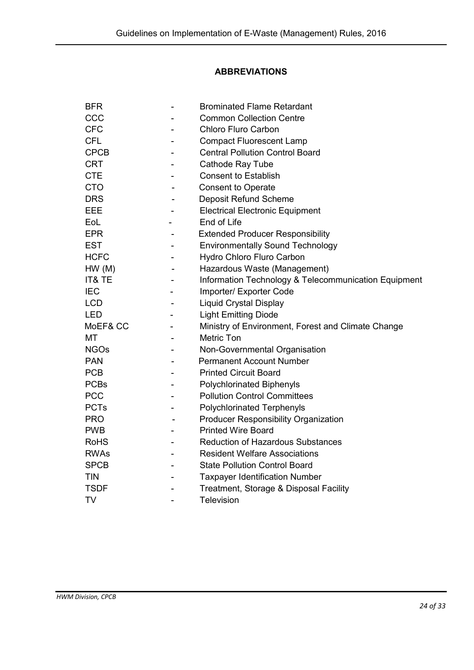## ABBREVIATIONS

| <b>BFR</b>  |                | <b>Brominated Flame Retardant</b>                    |
|-------------|----------------|------------------------------------------------------|
| CCC         |                | <b>Common Collection Centre</b>                      |
| <b>CFC</b>  |                | <b>Chloro Fluro Carbon</b>                           |
| <b>CFL</b>  |                | <b>Compact Fluorescent Lamp</b>                      |
| <b>CPCB</b> |                | <b>Central Pollution Control Board</b>               |
| <b>CRT</b>  |                | Cathode Ray Tube                                     |
| <b>CTE</b>  |                | <b>Consent to Establish</b>                          |
| <b>CTO</b>  |                | <b>Consent to Operate</b>                            |
| <b>DRS</b>  |                | <b>Deposit Refund Scheme</b>                         |
| EEE         |                | <b>Electrical Electronic Equipment</b>               |
| EoL         |                | End of Life                                          |
| <b>EPR</b>  |                | <b>Extended Producer Responsibility</b>              |
| <b>EST</b>  |                | <b>Environmentally Sound Technology</b>              |
| <b>HCFC</b> |                | Hydro Chloro Fluro Carbon                            |
| HW(M)       |                | Hazardous Waste (Management)                         |
| IT& TE      |                | Information Technology & Telecommunication Equipment |
| <b>IEC</b>  |                | Importer/ Exporter Code                              |
| <b>LCD</b>  |                | <b>Liquid Crystal Display</b>                        |
| <b>LED</b>  |                | <b>Light Emitting Diode</b>                          |
| MoEF& CC    |                | Ministry of Environment, Forest and Climate Change   |
| МT          |                | <b>Metric Ton</b>                                    |
| <b>NGOs</b> |                | Non-Governmental Organisation                        |
| <b>PAN</b>  |                | <b>Permanent Account Number</b>                      |
| <b>PCB</b>  |                | <b>Printed Circuit Board</b>                         |
| <b>PCBs</b> | $\blacksquare$ | <b>Polychlorinated Biphenyls</b>                     |
| <b>PCC</b>  |                | <b>Pollution Control Committees</b>                  |
| <b>PCTs</b> |                | <b>Polychlorinated Terphenyls</b>                    |
| <b>PRO</b>  |                | <b>Producer Responsibility Organization</b>          |
| <b>PWB</b>  |                | <b>Printed Wire Board</b>                            |
| <b>RoHS</b> |                | <b>Reduction of Hazardous Substances</b>             |
| <b>RWAs</b> |                | <b>Resident Welfare Associations</b>                 |
| <b>SPCB</b> |                | <b>State Pollution Control Board</b>                 |
| <b>TIN</b>  |                | <b>Taxpayer Identification Number</b>                |
| <b>TSDF</b> |                | Treatment, Storage & Disposal Facility               |
| <b>TV</b>   |                | <b>Television</b>                                    |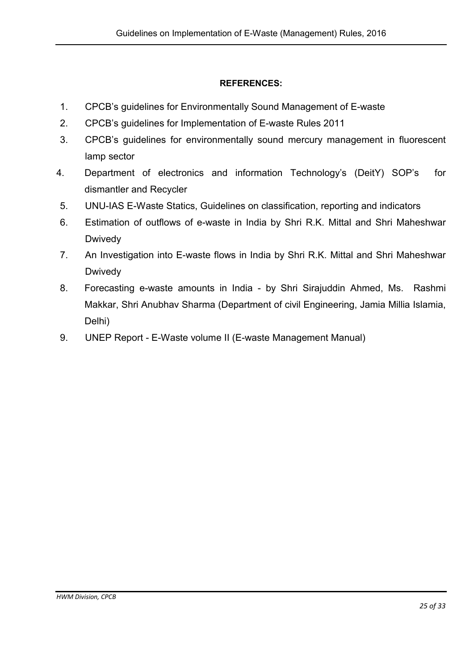## REFERENCES:

- 1. CPCB's guidelines for Environmentally Sound Management of E-waste
- 2. CPCB's guidelines for Implementation of E-waste Rules 2011
- 3. CPCB's guidelines for environmentally sound mercury management in fluorescent lamp sector
- 4. Department of electronics and information Technology's (DeitY) SOP's for dismantler and Recycler
- 5. UNU-IAS E-Waste Statics, Guidelines on classification, reporting and indicators
- 6. Estimation of outflows of e-waste in India by Shri R.K. Mittal and Shri Maheshwar Dwivedy
- 7. An Investigation into E-waste flows in India by Shri R.K. Mittal and Shri Maheshwar **Dwivedy**
- 8. Forecasting e-waste amounts in India by Shri Sirajuddin Ahmed, Ms. Rashmi Makkar, Shri Anubhav Sharma (Department of civil Engineering, Jamia Millia Islamia, Delhi)
- 9. UNEP Report E-Waste volume II (E-waste Management Manual)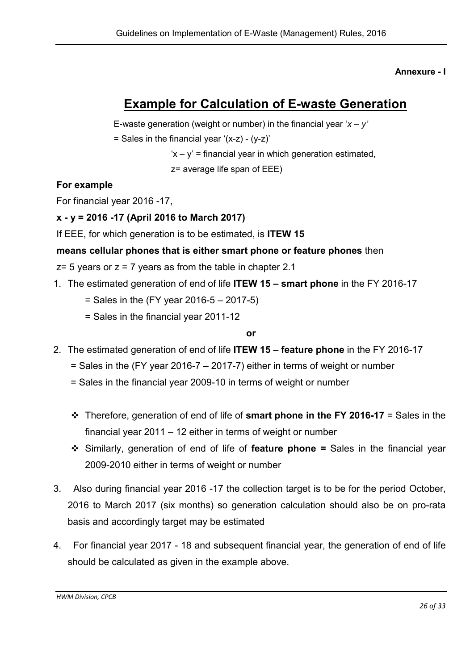## Annexure - I

## Example for Calculation of E-waste Generation

E-waste generation (weight or number) in the financial year '*x – y'* 

 $=$  Sales in the financial year '(x-z) - (y-z)'

 $x - y'$  = financial year in which generation estimated,

z= average life span of EEE)

## For example

For financial year 2016 -17,

## x - y = 2016 -17 (April 2016 to March 2017)

If EEE, for which generation is to be estimated, is ITEW 15

## means cellular phones that is either smart phone or feature phones then

 $z=$  5 years or  $z = 7$  years as from the table in chapter 2.1

- 1. The estimated generation of end of life ITEW 15 smart phone in the FY 2016-17
	- $=$  Sales in the (FY year 2016-5 2017-5)
	- $=$  Sales in the financial year 2011-12

## or

- 2. The estimated generation of end of life **ITEW 15 feature phone** in the FY 2016-17
	- $=$  Sales in the (FY year 2016-7 2017-7) either in terms of weight or number
	- = Sales in the financial year 2009-10 in terms of weight or number
	- $\cdot \cdot$  Therefore, generation of end of life of smart phone in the FY 2016-17 = Sales in the financial year 2011 – 12 either in terms of weight or number
	- Similarly, generation of end of life of **feature phone =** Sales in the financial year 2009-2010 either in terms of weight or number
- 3. Also during financial year 2016 -17 the collection target is to be for the period October, 2016 to March 2017 (six months) so generation calculation should also be on pro-rata basis and accordingly target may be estimated
- 4. For financial year 2017 18 and subsequent financial year, the generation of end of life should be calculated as given in the example above.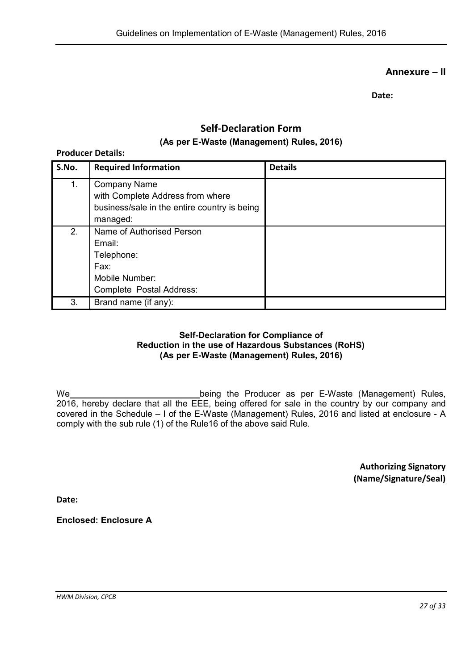## Annexure – II

Date:

## Self-Declaration Form (As per E-Waste (Management) Rules, 2016)

## Producer Details: S.No. Required Information **Remails** Details 1. Company Name with Complete Address from where business/sale in the entire country is being managed: 2. Name of Authorised Person Email: Telephone: Fax: Mobile Number: Complete Postal Address: 3. Brand name (if any):

#### Self-Declaration for Compliance of Reduction in the use of Hazardous Substances (RoHS) (As per E-Waste (Management) Rules, 2016)

We **being the Producer as per E-Waste (Management) Rules,** 2016, hereby declare that all the EEE, being offered for sale in the country by our company and covered in the Schedule – I of the E-Waste (Management) Rules, 2016 and listed at enclosure - A comply with the sub rule (1) of the Rule16 of the above said Rule.

> Authorizing Signatory (Name/Signature/Seal)

Date:

Enclosed: Enclosure A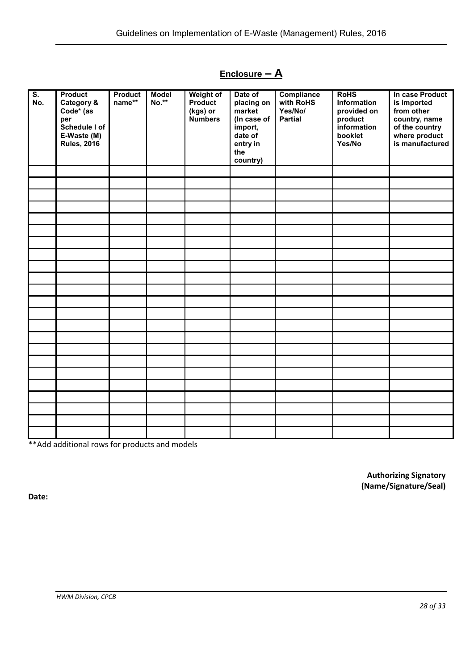## Enclosure - A

| $\overline{\mathsf{s}}$ . | <b>Product</b>     | <b>Product</b> | <b>Model</b> | Weight of                  | Date of               | Compliance                | <b>RoHS</b>            | In case Product             |
|---------------------------|--------------------|----------------|--------------|----------------------------|-----------------------|---------------------------|------------------------|-----------------------------|
| No.                       | Category &         | name**         | No.**        | Product                    | placing on            | with RoHS                 | Information            | is imported                 |
|                           | Code* (as<br>per   |                |              | (kgs) or<br><b>Numbers</b> | market<br>(In case of | Yes/No/<br><b>Partial</b> | provided on<br>product | from other<br>country, name |
|                           | Schedule I of      |                |              |                            | import,               |                           | information            | of the country              |
|                           | E-Waste (M)        |                |              |                            | date of               |                           | booklet                | where product               |
|                           | <b>Rules, 2016</b> |                |              |                            | entry in              |                           | Yes/No                 | is manufactured             |
|                           |                    |                |              |                            | the<br>country)       |                           |                        |                             |
|                           |                    |                |              |                            |                       |                           |                        |                             |
|                           |                    |                |              |                            |                       |                           |                        |                             |
|                           |                    |                |              |                            |                       |                           |                        |                             |
|                           |                    |                |              |                            |                       |                           |                        |                             |
|                           |                    |                |              |                            |                       |                           |                        |                             |
|                           |                    |                |              |                            |                       |                           |                        |                             |
|                           |                    |                |              |                            |                       |                           |                        |                             |
|                           |                    |                |              |                            |                       |                           |                        |                             |
|                           |                    |                |              |                            |                       |                           |                        |                             |
|                           |                    |                |              |                            |                       |                           |                        |                             |
|                           |                    |                |              |                            |                       |                           |                        |                             |
|                           |                    |                |              |                            |                       |                           |                        |                             |
|                           |                    |                |              |                            |                       |                           |                        |                             |
|                           |                    |                |              |                            |                       |                           |                        |                             |
|                           |                    |                |              |                            |                       |                           |                        |                             |
|                           |                    |                |              |                            |                       |                           |                        |                             |
|                           |                    |                |              |                            |                       |                           |                        |                             |
|                           |                    |                |              |                            |                       |                           |                        |                             |
|                           |                    |                |              |                            |                       |                           |                        |                             |
|                           |                    |                |              |                            |                       |                           |                        |                             |
|                           |                    |                |              |                            |                       |                           |                        |                             |
|                           |                    |                |              |                            |                       |                           |                        |                             |
|                           |                    |                |              |                            |                       |                           |                        |                             |

\*\*Add additional rows for products and models

Authorizing Signatory (Name/Signature/Seal)

Date: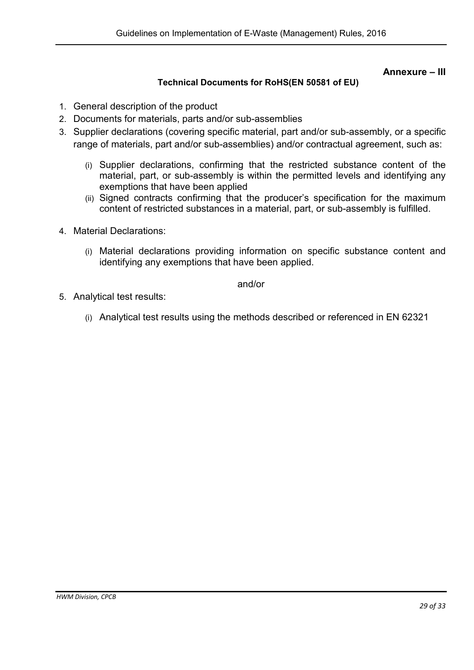## Annexure – III

## Technical Documents for RoHS(EN 50581 of EU)

- 1. General description of the product
- 2. Documents for materials, parts and/or sub-assemblies
- 3. Supplier declarations (covering specific material, part and/or sub-assembly, or a specific range of materials, part and/or sub-assemblies) and/or contractual agreement, such as:
	- (i) Supplier declarations, confirming that the restricted substance content of the material, part, or sub-assembly is within the permitted levels and identifying any exemptions that have been applied
	- (ii) Signed contracts confirming that the producer's specification for the maximum content of restricted substances in a material, part, or sub-assembly is fulfilled.
- 4. Material Declarations:
	- (i) Material declarations providing information on specific substance content and identifying any exemptions that have been applied.

and/or

- 5. Analytical test results:
	- (i) Analytical test results using the methods described or referenced in EN 62321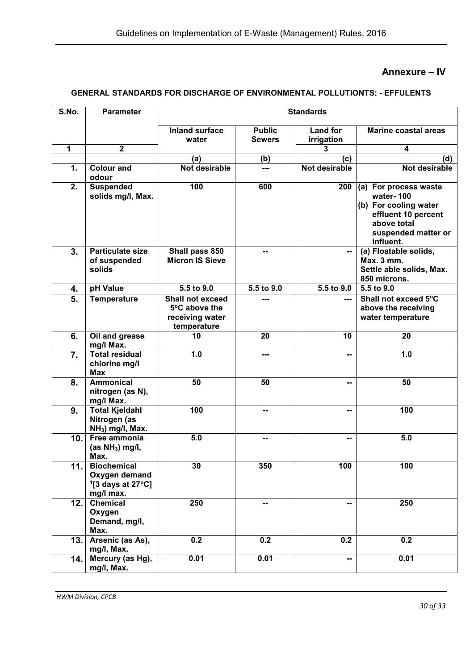## Annexure – IV

## GENERAL STANDARDS FOR DISCHARGE OF ENVIRONMENTAL POLLUTIONTS: - EFFULENTS

| S.No.        | <b>Parameter</b>                                                                    |                                                                            |                                | <b>Standards</b>              |                                                                                                                                       |  |  |
|--------------|-------------------------------------------------------------------------------------|----------------------------------------------------------------------------|--------------------------------|-------------------------------|---------------------------------------------------------------------------------------------------------------------------------------|--|--|
|              |                                                                                     | <b>Inland surface</b><br>water                                             | <b>Public</b><br><b>Sewers</b> | <b>Land for</b><br>irrigation | <b>Marine coastal areas</b>                                                                                                           |  |  |
| $\mathbf{1}$ | $\mathbf 2$                                                                         |                                                                            |                                | 3                             | 4                                                                                                                                     |  |  |
|              |                                                                                     | (a)                                                                        | (b)                            | (c)                           | (d)                                                                                                                                   |  |  |
| 1.           | <b>Colour and</b><br>odour                                                          | <b>Not desirable</b>                                                       | ---                            | Not desirable                 | Not desirable                                                                                                                         |  |  |
| 2.           | <b>Suspended</b><br>solids mg/l, Max.                                               | 100                                                                        | 600                            | 200                           | (a) For process waste<br>water-100<br>(b) For cooling water<br>effluent 10 percent<br>above total<br>suspended matter or<br>influent. |  |  |
| 3.           | <b>Particulate size</b><br>of suspended<br>solids                                   | Shall pass 850<br><b>Micron IS Sieve</b>                                   | --                             | --                            | (a) Floatable solids,<br>Max. 3 mm.<br>Settle able solids, Max.<br>850 microns.                                                       |  |  |
| 4.           | pH Value                                                                            | $5.5$ to $9.0$                                                             | 5.5 to 9.0                     | 5.5 to 9.0                    | 5.5 to 9.0                                                                                                                            |  |  |
| 5.           | <b>Temperature</b>                                                                  | <b>Shall not exceed</b><br>5°C above the<br>receiving water<br>temperature |                                |                               | Shall not exceed 5°C<br>above the receiving<br>water temperature                                                                      |  |  |
| 6.           | Oil and grease<br>mg/l Max.                                                         | 10                                                                         | 20                             | 10                            | 20                                                                                                                                    |  |  |
| 7.           | <b>Total residual</b><br>chlorine mg/l<br><b>Max</b>                                | 1.0                                                                        | ---                            |                               | 1.0                                                                                                                                   |  |  |
| 8.           | <b>Ammonical</b><br>nitrogen (as N),<br>mg/l Max.                                   | 50                                                                         | 50                             |                               | 50                                                                                                                                    |  |  |
| 9.           | <b>Total Kjeldahl</b><br>Nitrogen (as<br>NH <sub>3</sub> ) mg/l, Max.               | 100                                                                        | --                             |                               | 100                                                                                                                                   |  |  |
| 10.          | Free ammonia<br>(as $NH3$ ) mg/l,<br>Max.                                           | 5.0                                                                        | --                             |                               | 5.0                                                                                                                                   |  |  |
| 11.          | <b>Biochemical</b><br>Oxygen demand<br>$1$ [3 days at 27 $^{\circ}$ C]<br>mg/l max. | 30                                                                         | 350                            | 100                           | 100                                                                                                                                   |  |  |
| 12.          | <b>Chemical</b><br>Oxygen<br>Demand, mg/l,<br>Max.                                  | 250                                                                        | --                             | --                            | 250                                                                                                                                   |  |  |
| 13.          | Arsenic (as As),<br>mg/l, Max.                                                      | 0.2                                                                        | 0.2                            | 0.2                           | 0.2                                                                                                                                   |  |  |
| 14.          | Mercury (as Hg),<br>mg/l, Max.                                                      | 0.01                                                                       | 0.01                           | --                            | 0.01                                                                                                                                  |  |  |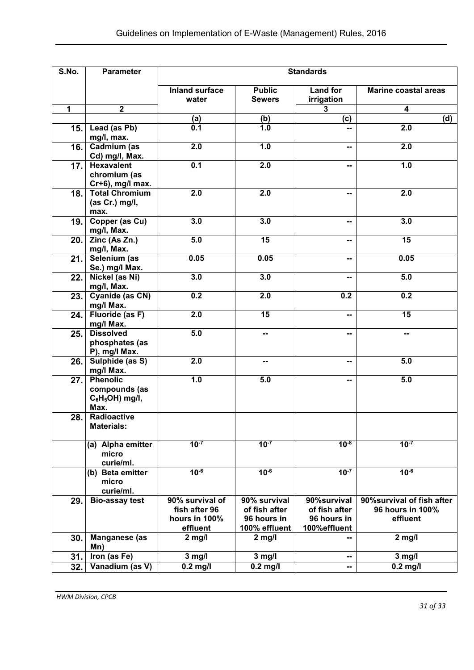| S.No.        | <b>Standards</b><br><b>Parameter</b>                           |                                                               |                                                               |                                                              |                                                            |  |
|--------------|----------------------------------------------------------------|---------------------------------------------------------------|---------------------------------------------------------------|--------------------------------------------------------------|------------------------------------------------------------|--|
|              |                                                                | <b>Inland surface</b><br>water                                | <b>Public</b><br><b>Sewers</b>                                | <b>Land for</b><br>irrigation                                | <b>Marine coastal areas</b>                                |  |
| $\mathbf{1}$ | $\overline{2}$                                                 |                                                               |                                                               | 3                                                            | 4                                                          |  |
|              |                                                                | (a)                                                           | (b)                                                           | (c)                                                          | (d)                                                        |  |
| 15.          | Lead (as Pb)<br>mg/l, max.                                     | 0.1                                                           | 1.0                                                           | $\overline{a}$                                               | 2.0                                                        |  |
| 16.          | Cadmium (as<br>Cd) mg/l, Max.                                  | 2.0                                                           | 1.0                                                           | $\sim$                                                       | 2.0                                                        |  |
| 17.          | <b>Hexavalent</b><br>chromium (as<br>Cr+6), mg/l max.          | 0.1                                                           | 2.0                                                           |                                                              | 1.0                                                        |  |
| 18.          | <b>Total Chromium</b><br>(as Cr.) mg/l,<br>max.                | 2.0                                                           | 2.0                                                           | --                                                           | 2.0                                                        |  |
| 19.          | Copper (as Cu)<br>mg/l, Max.                                   | 3.0                                                           | 3.0                                                           | --                                                           | 3.0                                                        |  |
| 20.          | Zinc (As Zn.)<br>mg/l, Max.                                    | 5.0                                                           | $\overline{15}$                                               |                                                              | $\overline{15}$                                            |  |
| 21.          | Selenium (as<br>Se.) mg/l Max.                                 | 0.05                                                          | 0.05                                                          |                                                              | 0.05                                                       |  |
| 22.          | Nickel (as Ni)<br>mg/l, Max.                                   | 3.0                                                           | 3.0                                                           |                                                              | 5.0                                                        |  |
| 23.          | Cyanide (as CN)<br>mg/l Max.                                   | 0.2                                                           | 2.0                                                           | 0.2                                                          | 0.2                                                        |  |
| 24.          | Fluoride (as F)<br>mg/l Max.                                   | 2.0                                                           | 15                                                            | --                                                           | 15                                                         |  |
| 25.          | <b>Dissolved</b><br>phosphates (as<br>P), mg/l Max.            | 5.0                                                           | --                                                            |                                                              | -−                                                         |  |
| 26.          | Sulphide (as S)<br>mg/l Max.                                   | 2.0                                                           | $\sim$                                                        | --                                                           | 5.0                                                        |  |
| 27.          | <b>Phenolic</b><br>compounds (as<br>$C_6H_5OH$ ) mg/l,<br>Max. | 1.0                                                           | 5.0                                                           |                                                              | 5.0                                                        |  |
| 28.          | Radioactive<br><b>Materials:</b>                               |                                                               |                                                               |                                                              |                                                            |  |
|              | (a) Alpha emitter<br>micro<br>curie/ml.                        | $10^{-7}$                                                     | $10^{-7}$                                                     | $10^{-8}$                                                    | $10^{-7}$                                                  |  |
|              | (b) Beta emitter<br>micro<br>curie/ml.                         | $10^{-6}$                                                     | $10^{-6}$                                                     | $10^{-7}$                                                    | $10^{-6}$                                                  |  |
| 29.          | <b>Bio-assay test</b>                                          | 90% survival of<br>fish after 96<br>hours in 100%<br>effluent | 90% survival<br>of fish after<br>96 hours in<br>100% effluent | 90%survival<br>of fish after<br>96 hours in<br>100% effluent | 90% survival of fish after<br>96 hours in 100%<br>effluent |  |
| 30.          | Manganese (as<br>Mn)                                           | $2$ mg/l                                                      | $2$ mg/l                                                      |                                                              | $2$ mg/l                                                   |  |
| 31.          | Iron (as Fe)                                                   | $3$ mg/l                                                      | $3$ mg/l                                                      | $\sim$                                                       | $3$ mg/l                                                   |  |
| 32.          | Vanadium (as V)                                                | $0.2$ mg/l                                                    | $0.2$ mg/l                                                    | $\overline{\phantom{a}}$                                     | $0.2$ mg/l                                                 |  |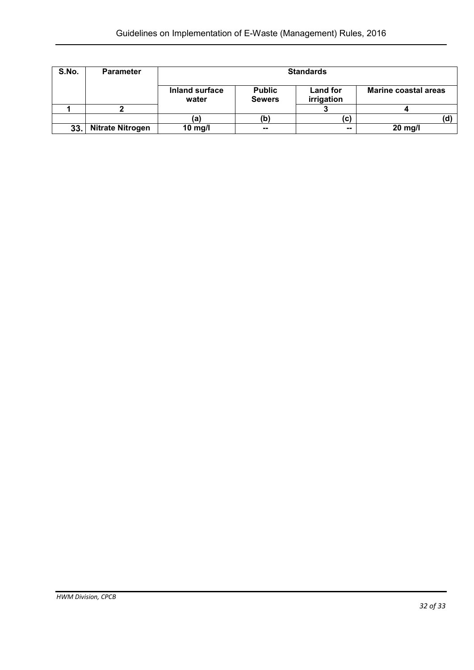| S.No. | <b>Parameter</b>        |                                |                                | <b>Standards</b>              |                             |
|-------|-------------------------|--------------------------------|--------------------------------|-------------------------------|-----------------------------|
|       |                         | <b>Inland surface</b><br>water | <b>Public</b><br><b>Sewers</b> | <b>Land for</b><br>irrigation | <b>Marine coastal areas</b> |
|       |                         |                                |                                |                               |                             |
|       |                         | (a)                            | (b)                            | (c)                           |                             |
| 33.   | <b>Nitrate Nitrogen</b> | 10 mg/l                        | $- -$                          | $\sim$                        | 20 mg/l                     |